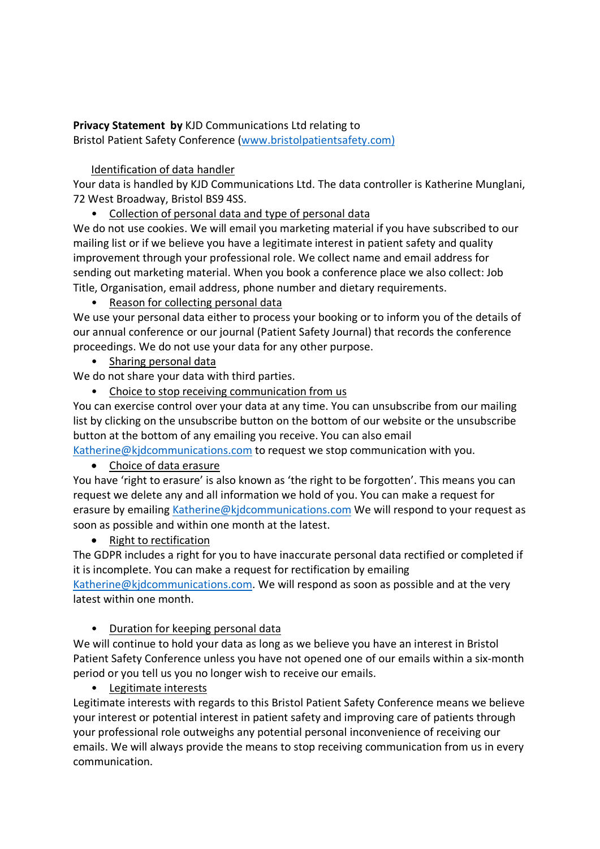#### **Privacy Statement by** KJD Communications Ltd relating to Bristol Patient Safety Conference (www.bristolpatientsafety.com)

## Identification of data handler

Your data is handled by KJD Communications Ltd. The data controller is Katherine Munglani, 72 West Broadway, Bristol BS9 4SS.

• Collection of personal data and type of personal data

We do not use cookies. We will email you marketing material if you have subscribed to our mailing list or if we believe you have a legitimate interest in patient safety and quality improvement through your professional role. We collect name and email address for sending out marketing material. When you book a conference place we also collect: Job Title, Organisation, email address, phone number and dietary requirements.

• Reason for collecting personal data

We use your personal data either to process your booking or to inform you of the details of our annual conference or our journal (Patient Safety Journal) that records the conference proceedings. We do not use your data for any other purpose.

• Sharing personal data

We do not share your data with third parties.

• Choice to stop receiving communication from us

You can exercise control over your data at any time. You can unsubscribe from our mailing list by clicking on the unsubscribe button on the bottom of our website or the unsubscribe button at the bottom of any emailing you receive. You can also email

Katherine@kjdcommunications.com to request we stop communication with you.

• Choice of data erasure

You have 'right to erasure' is also known as 'the right to be forgotten'. This means you can request we delete any and all information we hold of you. You can make a request for erasure by emailing Katherine@kjdcommunications.com We will respond to your request as soon as possible and within one month at the latest.

# • Right to rectification

The GDPR includes a right for you to have inaccurate personal data rectified or completed if it is incomplete. You can make a request for rectification by emailing Katherine@kjdcommunications.com. We will respond as soon as possible and at the very latest within one month.

## • Duration for keeping personal data

We will continue to hold your data as long as we believe you have an interest in Bristol Patient Safety Conference unless you have not opened one of our emails within a six-month period or you tell us you no longer wish to receive our emails.

## • Legitimate interests

Legitimate interests with regards to this Bristol Patient Safety Conference means we believe your interest or potential interest in patient safety and improving care of patients through your professional role outweighs any potential personal inconvenience of receiving our emails. We will always provide the means to stop receiving communication from us in every communication.